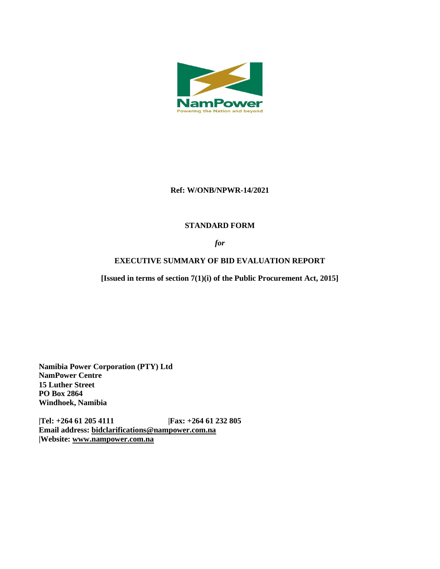

### **Ref: W/ONB/NPWR-14/2021**

# **STANDARD FORM**

*for*

# **EXECUTIVE SUMMARY OF BID EVALUATION REPORT**

**[Issued in terms of section 7(1)(i) of the Public Procurement Act, 2015]** 

**Namibia Power Corporation (PTY) Ltd NamPower Centre 15 Luther Street PO Box 2864 Windhoek, Namibia**

**|Tel: +264 61 205 4111 |Fax: +264 61 232 805 Email address: [bidclarifications@nampower.com.na](mailto:bidclarifications@nampower.com.na) |Website: [www.n](http://www./)ampower.com.na**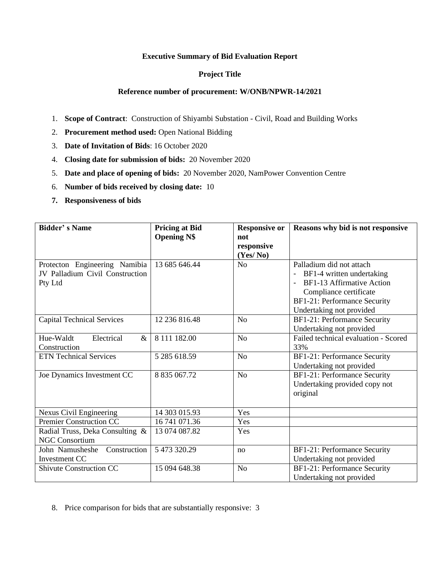#### **Executive Summary of Bid Evaluation Report**

### **Project Title**

#### **Reference number of procurement: W/ONB/NPWR-14/2021**

- 1. **Scope of Contract**: Construction of Shiyambi Substation Civil, Road and Building Works
- 2. **Procurement method used:** Open National Bidding
- 3. **Date of Invitation of Bids**: 16 October 2020
- 4. **Closing date for submission of bids:** 20 November 2020
- 5. **Date and place of opening of bids:** 20 November 2020, NamPower Convention Centre
- 6. **Number of bids received by closing date:** 10
- **7. Responsiveness of bids**

| <b>Bidder's Name</b>              | <b>Pricing at Bid</b> | <b>Responsive or</b> | Reasons why bid is not responsive    |
|-----------------------------------|-----------------------|----------------------|--------------------------------------|
|                                   | <b>Opening N\$</b>    | not                  |                                      |
|                                   |                       | responsive           |                                      |
|                                   |                       | (Yes/No)             |                                      |
| Protecton Engineering Namibia     | 13 685 646.44         | N <sub>o</sub>       | Palladium did not attach             |
| JV Palladium Civil Construction   |                       |                      | BF1-4 written undertaking            |
| Pty Ltd                           |                       |                      | BF1-13 Affirmative Action            |
|                                   |                       |                      | Compliance certificate               |
|                                   |                       |                      | BF1-21: Performance Security         |
|                                   |                       |                      | Undertaking not provided             |
| <b>Capital Technical Services</b> | 12 236 816.48         | N <sub>o</sub>       | BF1-21: Performance Security         |
|                                   |                       |                      | Undertaking not provided             |
| Electrical<br>Hue-Waldt<br>$\&$   | 8 111 182.00          | N <sub>o</sub>       | Failed technical evaluation - Scored |
| Construction                      |                       |                      | 33%                                  |
| <b>ETN Technical Services</b>     | 5 285 618.59          | N <sub>o</sub>       | BF1-21: Performance Security         |
|                                   |                       |                      | Undertaking not provided             |
| Joe Dynamics Investment CC        | 8 835 067.72          | N <sub>o</sub>       | BF1-21: Performance Security         |
|                                   |                       |                      | Undertaking provided copy not        |
|                                   |                       |                      | original                             |
|                                   |                       |                      |                                      |
| <b>Nexus Civil Engineering</b>    | 14 303 015.93         | Yes                  |                                      |
| Premier Construction CC           | 16 741 071.36         | Yes                  |                                      |
| Radial Truss, Deka Consulting &   | 13 074 087.82         | Yes                  |                                      |
| <b>NGC Consortium</b>             |                       |                      |                                      |
| Construction<br>John Namusheshe   | 5 473 320.29          | no                   | BF1-21: Performance Security         |
| <b>Investment CC</b>              |                       |                      | Undertaking not provided             |
| <b>Shivute Construction CC</b>    | 15 094 648.38         | N <sub>o</sub>       | BF1-21: Performance Security         |
|                                   |                       |                      | Undertaking not provided             |

8. Price comparison for bids that are substantially responsive: 3